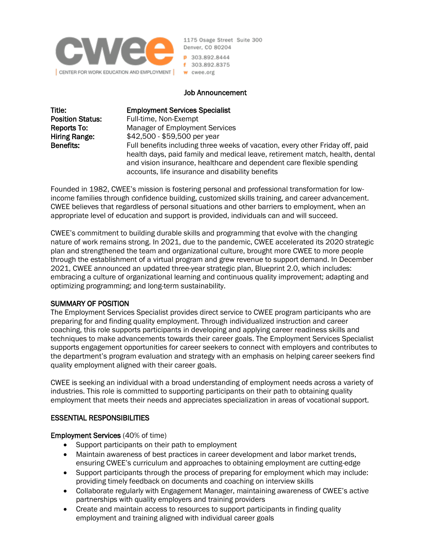

1175 Osage Street Suite 300 Denver, CO 80204 P 303.892.8444 f 303.892.8375 w cwee.org

#### Job Announcement

Title: Employment Services Specialist

**Position Status:** Full-time, Non-Exempt Reports To: Manager of Employment Services Hiring Range: \$42,500 - \$59,500 per year Benefits: Full benefits including three weeks of vacation, every other Friday off, paid health days, paid family and medical leave, retirement match, health, dental and vision insurance, healthcare and dependent care flexible spending accounts, life insurance and disability benefits

Founded in 1982, CWEE's mission is fostering personal and professional transformation for lowincome families through confidence building, customized skills training, and career advancement. CWEE believes that regardless of personal situations and other barriers to employment, when an appropriate level of education and support is provided, individuals can and will succeed.

CWEE's commitment to building durable skills and programming that evolve with the changing nature of work remains strong. In 2021, due to the pandemic, CWEE accelerated its 2020 strategic plan and strengthened the team and organizational culture, brought more CWEE to more people through the establishment of a virtual program and grew revenue to support demand. In December 2021, CWEE announced an updated three-year strategic plan, Blueprint 2.0, which includes: embracing a culture of organizational learning and continuous quality improvement; adapting and optimizing programming; and long-term sustainability.

#### SUMMARY OF POSITION

The Employment Services Specialist provides direct service to CWEE program participants who are preparing for and finding quality employment. Through individualized instruction and career coaching, this role supports participants in developing and applying career readiness skills and techniques to make advancements towards their career goals. The Employment Services Specialist supports engagement opportunities for career seekers to connect with employers and contributes to the department's program evaluation and strategy with an emphasis on helping career seekers find quality employment aligned with their career goals.

CWEE is seeking an individual with a broad understanding of employment needs across a variety of industries. This role is committed to supporting participants on their path to obtaining quality employment that meets their needs and appreciates specialization in areas of vocational support.

#### ESSENTIAL RESPONSIBILITIES

#### Employment Services (40% of time)

- Support participants on their path to employment
- Maintain awareness of best practices in career development and labor market trends, ensuring CWEE's curriculum and approaches to obtaining employment are cutting-edge
- Support participants through the process of preparing for employment which may include: providing timely feedback on documents and coaching on interview skills
- Collaborate regularly with Engagement Manager, maintaining awareness of CWEE's active partnerships with quality employers and training providers
- Create and maintain access to resources to support participants in finding quality employment and training aligned with individual career goals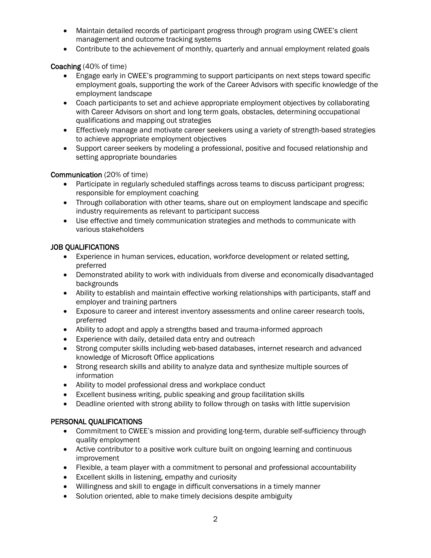- Maintain detailed records of participant progress through program using CWEE's client management and outcome tracking systems
- Contribute to the achievement of monthly, quarterly and annual employment related goals

### Coaching (40% of time)

- Engage early in CWEE's programming to support participants on next steps toward specific employment goals, supporting the work of the Career Advisors with specific knowledge of the employment landscape
- Coach participants to set and achieve appropriate employment objectives by collaborating with Career Advisors on short and long term goals, obstacles, determining occupational qualifications and mapping out strategies
- Effectively manage and motivate career seekers using a variety of strength-based strategies to achieve appropriate employment objectives
- Support career seekers by modeling a professional, positive and focused relationship and setting appropriate boundaries

### Communication (20% of time)

- Participate in regularly scheduled staffings across teams to discuss participant progress; responsible for employment coaching
- Through collaboration with other teams, share out on employment landscape and specific industry requirements as relevant to participant success
- Use effective and timely communication strategies and methods to communicate with various stakeholders

### JOB QUALIFICATIONS

- Experience in human services, education, workforce development or related setting, preferred
- Demonstrated ability to work with individuals from diverse and economically disadvantaged backgrounds
- Ability to establish and maintain effective working relationships with participants, staff and employer and training partners
- Exposure to career and interest inventory assessments and online career research tools, preferred
- Ability to adopt and apply a strengths based and trauma-informed approach
- Experience with daily, detailed data entry and outreach
- Strong computer skills including web-based databases, internet research and advanced knowledge of Microsoft Office applications
- Strong research skills and ability to analyze data and synthesize multiple sources of information
- Ability to model professional dress and workplace conduct
- Excellent business writing, public speaking and group facilitation skills
- Deadline oriented with strong ability to follow through on tasks with little supervision

### PERSONAL QUALIFICATIONS

- Commitment to CWEE's mission and providing long-term, durable self-sufficiency through quality employment
- Active contributor to a positive work culture built on ongoing learning and continuous improvement
- Flexible, a team player with a commitment to personal and professional accountability
- Excellent skills in listening, empathy and curiosity
- Willingness and skill to engage in difficult conversations in a timely manner
- Solution oriented, able to make timely decisions despite ambiguity